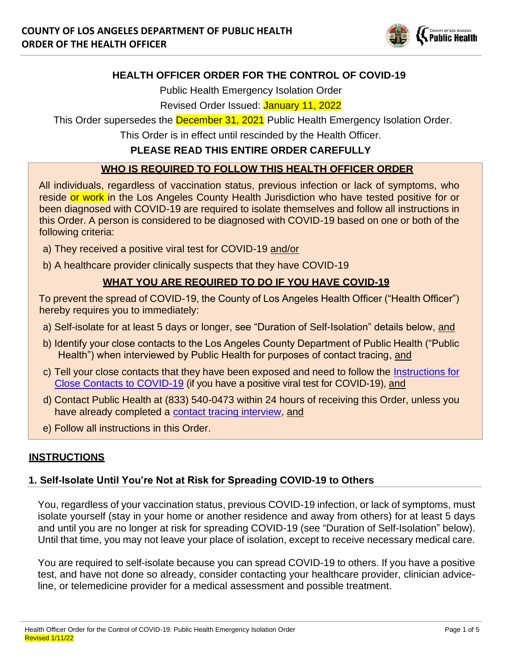

## **HEALTH OFFICER ORDER FOR THE CONTROL OF COVID-19**

Public Health Emergency Isolation Order

Revised Order Issued: January 11, 2022

This Order supersedes the **December 31, 2021** Public Health Emergency Isolation Order.

This Order is in effect until rescinded by the Health Officer.

## **PLEASE READ THIS ENTIRE ORDER CAREFULLY**

## **WHO IS REQUIRED TO FOLLOW THIS HEALTH OFFICER ORDER**

All individuals, regardless of vaccination status, previous infection or lack of symptoms, who reside or work in the Los Angeles County Health Jurisdiction who have tested positive for or been diagnosed with COVID-19 are required to isolate themselves and follow all instructions in this Order. A person is considered to be diagnosed with COVID-19 based on one or both of the following criteria:

- a) They received a positive viral test for COVID-19 and/or
- b) A healthcare provider clinically suspects that they have COVID-19

# **WHAT YOU ARE REQUIRED TO DO IF YOU HAVE COVID-19**

To prevent the spread of COVID-19, the County of Los Angeles Health Officer ("Health Officer") hereby requires you to immediately:

- a) Self-isolate for at least 5 days or longer, see "Duration of Self-Isolation" details below, and
- b) Identify your close contacts to the Los Angeles County Department of Public Health ("Public Health") when interviewed by Public Health for purposes of contact tracing, and
- c) Tell your close contacts that they have been exposed and need to follow the [Instructions for](http://publichealth.lacounty.gov/acd/ncorona2019/covidquarantine/) [Close Contacts to COVID-19](http://publichealth.lacounty.gov/acd/ncorona2019/covidquarantine/) (if you have a positive viral test for COVID-19), and
- d) Contact Public Health at (833) 540-0473 within 24 hours of receiving this Order, unless you have already completed a [contact tracing interview,](http://publichealth.lacounty.gov/media/Coronavirus/docs/community/ContactTracing.pdf) and
- e) Follow all instructions in this Order.

# **INSTRUCTIONS**

### **1. Self-Isolate Until You're Not at Risk for Spreading COVID-19 to Others**

You, regardless of your vaccination status, previous COVID-19 infection, or lack of symptoms, must isolate yourself (stay in your home or another residence and away from others) for at least 5 days and until you are no longer at risk for spreading COVID-19 (see "Duration of Self-Isolation" below). Until that time, you may not leave your place of isolation, except to receive necessary medical care.

You are required to self-isolate because you can spread COVID-19 to others. If you have a positive test, and have not done so already, consider contacting your healthcare provider, clinician adviceline, or telemedicine provider for a medical assessment and possible treatment.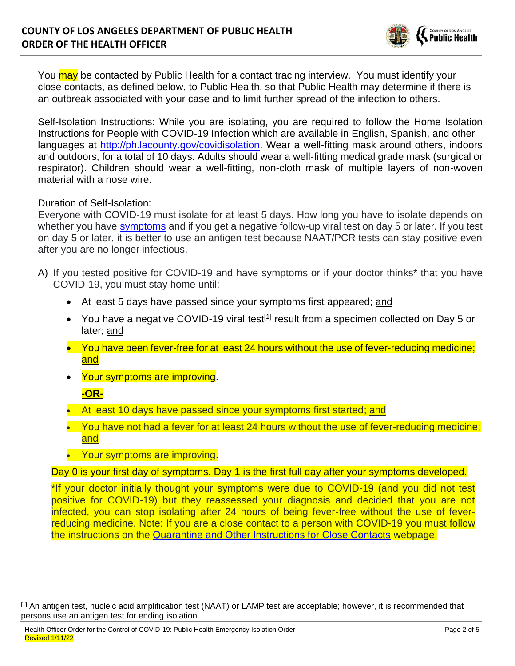

You may be contacted by Public Health for a contact tracing interview. You must identify your close contacts, as defined below, to Public Health, so that Public Health may determine if there is an outbreak associated with your case and to limit further spread of the infection to others.

Self-Isolation Instructions: While you are isolating, you are required to follow the Home Isolation Instructions for People with COVID-19 Infection which are available in English, Spanish, and other languages at [http://ph.lacounty.gov/covidisolation.](http://ph.lacounty.gov/covidisolation) Wear a well-fitting mask around others, indoors and outdoors, for a total of 10 days. Adults should wear a well-fitting medical grade mask (surgical or respirator). Children should wear a well-fitting, non-cloth mask of multiple layers of non-woven material with a nose wire.

#### Duration of Self-Isolation:

Everyone with COVID-19 must isolate for at least 5 days. How long you have to isolate depends on whether you have [symptoms](http://publichealth.lacounty.gov/acd/ncorona2019/covidisolation/) and if you get a negative follow-up viral test on day 5 or later. If you test on day 5 or later, it is better to use an antigen test because NAAT/PCR tests can stay positive even after you are no longer infectious.

- A) If you tested positive for COVID-19 and have symptoms or if your doctor thinks\* that you have COVID-19, you must stay home until:
	- At least 5 days have passed since your symptoms first appeared; and
	- You have a negative COVID-19 viral test<sup>[1]</sup> result from a specimen collected on Day 5 or later; and
	- You have been fever-free for at least 24 hours without the use of fever-reducing medicine: and
	- Your symptoms are improving.

### **-OR-**

- At least 10 days have passed since your symptoms first started; and
- You have not had a fever for at least 24 hours without the use of fever-reducing medicine; and
- Your symptoms are improving.

#### Day 0 is your first day of symptoms. Day 1 is the first full day after your symptoms developed.

\*If your doctor initially thought your symptoms were due to COVID-19 (and you did not test positive for COVID-19) but they reassessed your diagnosis and decided that you are not infected, you can stop isolating after 24 hours of being fever-free without the use of feverreducing medicine. Note: If you are a close contact to a person with COVID-19 you must follow the instructions on the [Quarantine and Other Instructions for Close Contacts](http://publichealth.lacounty.gov/acd/ncorona2019/covidquarantine/) webpage.

<sup>[1]</sup> An antigen test, nucleic acid amplification test (NAAT) or LAMP test are acceptable; however, it is recommended that persons use an antigen test for ending isolation.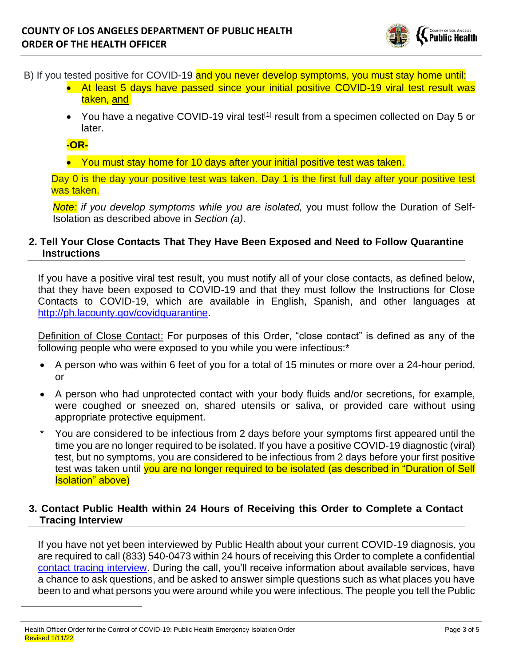

B) If you tested positive for COVID-19 and you never develop symptoms, you must stay home until:

- At least 5 days have passed since your initial positive COVID-19 viral test result was taken, and
- You have a negative COVID-19 viral test<sup>[1]</sup> result from a specimen collected on Day 5 or later.

#### **-OR-**

• You must stay home for 10 days after your initial positive test was taken.

Day 0 is the day your positive test was taken. Day 1 is the first full day after your positive test was taken.

*Note: if you develop symptoms while you are isolated,* you must follow the Duration of Self-Isolation as described above in *Section (a)*.

#### **2. Tell Your Close Contacts That They Have Been Exposed and Need to Follow Quarantine Instructions**

If you have a positive viral test result, you must notify all of your close contacts, as defined below, that they have been exposed to COVID-19 and that they must follow the Instructions for Close Contacts to COVID-19, which are available in English, Spanish, and other languages at http:/[/ph.lacounty.gov/covidquarantine.](http://ph.lacounty.gov/covidquarantine)

Definition of Close Contact: For purposes of this Order, "close contact" is defined as any of the following people who were exposed to you while you were infectious:\*

- A person who was within 6 feet of you for a total of 15 minutes or more over a 24-hour period, or
- A person who had unprotected contact with your body fluids and/or secretions, for example, were coughed or sneezed on, shared utensils or saliva, or provided care without using appropriate protective equipment.
- \* You are considered to be infectious from 2 days before your symptoms first appeared until the time you are no longer required to be isolated. If you have a positive COVID-19 diagnostic (viral) test, but no symptoms, you are considered to be infectious from 2 days before your first positive test was taken until you are no longer required to be isolated (as described in "Duration of Self Isolation" above)

#### **3. Contact Public Health within 24 Hours of Receiving this Order to Complete a Contact Tracing Interview**

If you have not yet been interviewed by Public Health about your current COVID-19 diagnosis, you are required to call (833) 540-0473 within 24 hours of receiving this Order to complete a confidential [contact tracing interview.](http://publichealth.lacounty.gov/media/Coronavirus/docs/community/ContactTracing.pdf) During the call, you'll receive information about available services, have a chance to ask questions, and be asked to answer simple questions such as what places you have been to and what persons you were around while you were infectious. The people you tell the Public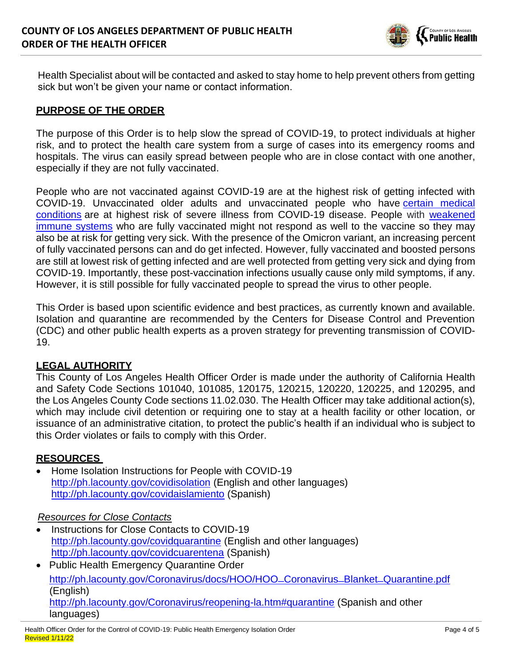

Health Specialist about will be contacted and asked to stay home to help prevent others from getting sick but won't be given your name or contact information.

### **PURPOSE OF THE ORDER**

The purpose of this Order is to help slow the spread of COVID-19, to protect individuals at higher risk, and to protect the health care system from a surge of cases into its emergency rooms and hospitals. The virus can easily spread between people who are in close contact with one another, especially if they are not fully vaccinated.

People who are not vaccinated against COVID-19 are at the highest risk of getting infected with COVID-19. Unvaccinated older adults and unvaccinated people who have certain [medical](https://www.cdc.gov/coronavirus/2019-ncov/need-extra-precautions/people-with-medical-conditions.html)  [conditions](https://www.cdc.gov/coronavirus/2019-ncov/need-extra-precautions/people-with-medical-conditions.html) are at highest risk of severe illness from COVID-19 disease. People with [weakened](https://www.cdc.gov/coronavirus/2019-ncov/vaccines/recommendations/immuno.html)  [immune systems](https://www.cdc.gov/coronavirus/2019-ncov/vaccines/recommendations/immuno.html) who are fully vaccinated might not respond as well to the vaccine so they may also be at risk for getting very sick. With the presence of the Omicron variant, an increasing percent of fully vaccinated persons can and do get infected. However, fully vaccinated and boosted persons are still at lowest risk of getting infected and are well protected from getting very sick and dying from COVID-19. Importantly, these post-vaccination infections usually cause only mild symptoms, if any. However, it is still possible for fully vaccinated people to spread the virus to other people.

This Order is based upon scientific evidence and best practices, as currently known and available. Isolation and quarantine are recommended by the Centers for Disease Control and Prevention (CDC) and other public health experts as a proven strategy for preventing transmission of COVID-19.

### **LEGAL AUTHORITY**

This County of Los Angeles Health Officer Order is made under the authority of California Health and Safety Code Sections 101040, 101085, 120175, 120215, 120220, 120225, and 120295, and the Los Angeles County Code sections 11.02.030. The Health Officer may take additional action(s), which may include civil detention or requiring one to stay at a health facility or other location, or issuance of an administrative citation, to protect the public's health if an individual who is subject to this Order violates or fails to comply with this Order.

#### **RESOURCES**

• Home Isolation Instructions for People with COVID-19 http:/[/ph.lacounty.gov/covidisolation](http://www.ph.lacounty.gov/covidisolation) (English and other languages) <http://ph.lacounty.gov/covidaislamiento> (Spanish)

#### *Resources for Close Contacts*

- Instructions for Close Contacts to COVID-19 <http://ph.lacounty.gov/covidquarantine> (English and other languages) <http://ph.lacounty.gov/covidcuarentena> (Spanish)
- Public Health Emergency Quarantine Order [http://ph.lacounty.gov/Coronavirus/docs/HOO/HOO\\_Coronavirus\\_Blanket\\_Quarantine.pdf](http://ph.lacounty.gov/Coronavirus/docs/HOO/HOO_Coronavirus_Blanket_Quarantine.pdf) (English) <http://ph.lacounty.gov/Coronavirus/reopening-la.htm#quarantine> (Spanish and other languages)